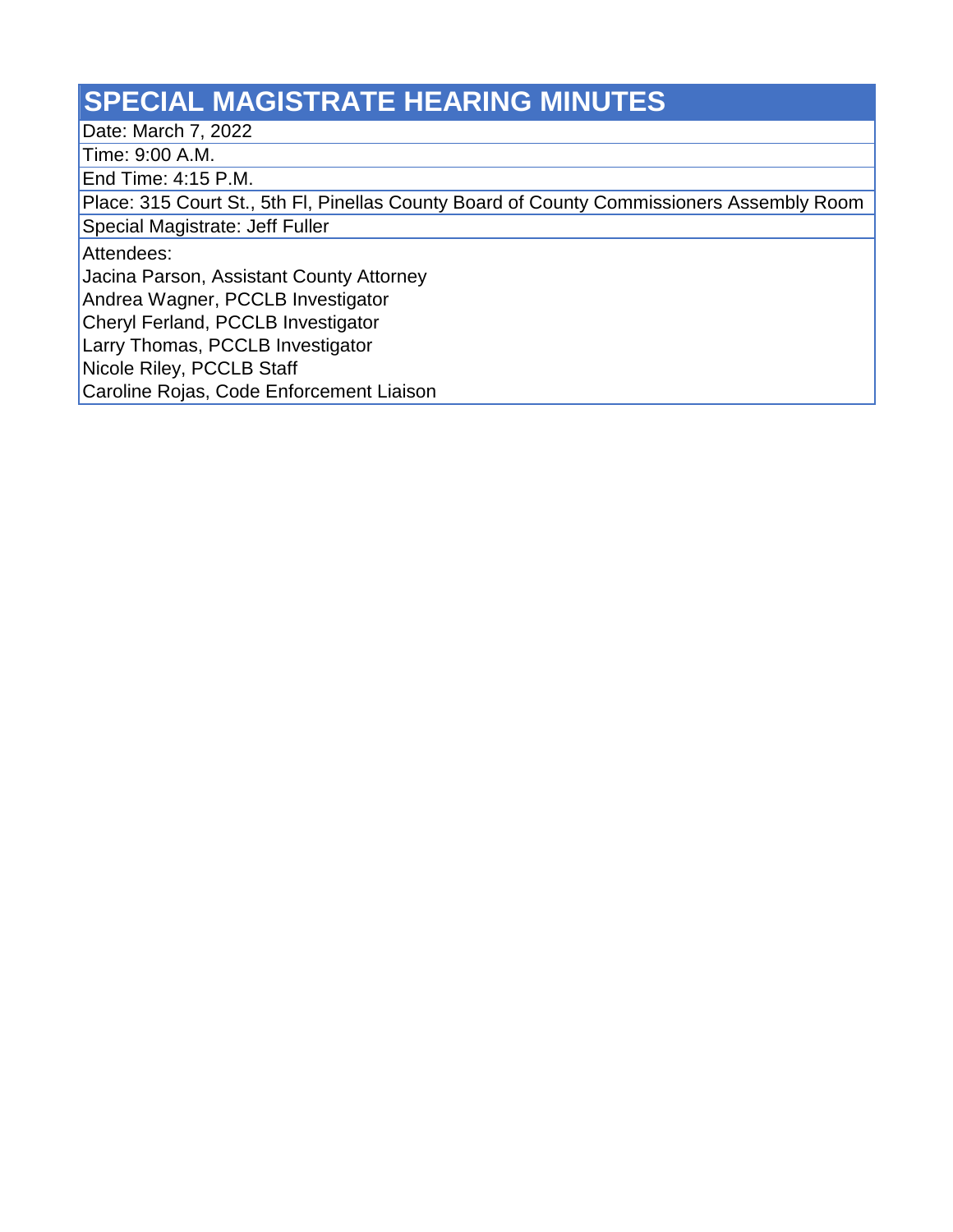## **SPECIAL MAGISTRATE HEARING MINUTES**

Date: March 7, 2022

Time: 9:00 A.M.

End Time: 4:15 P.M.

Place: 315 Court St., 5th Fl, Pinellas County Board of County Commissioners Assembly Room

Special Magistrate: Jeff Fuller

Attendees:

Jacina Parson, Assistant County Attorney

Andrea Wagner, PCCLB Investigator

Cheryl Ferland, PCCLB Investigator

Larry Thomas, PCCLB Investigator

Nicole Riley, PCCLB Staff

Caroline Rojas, Code Enforcement Liaison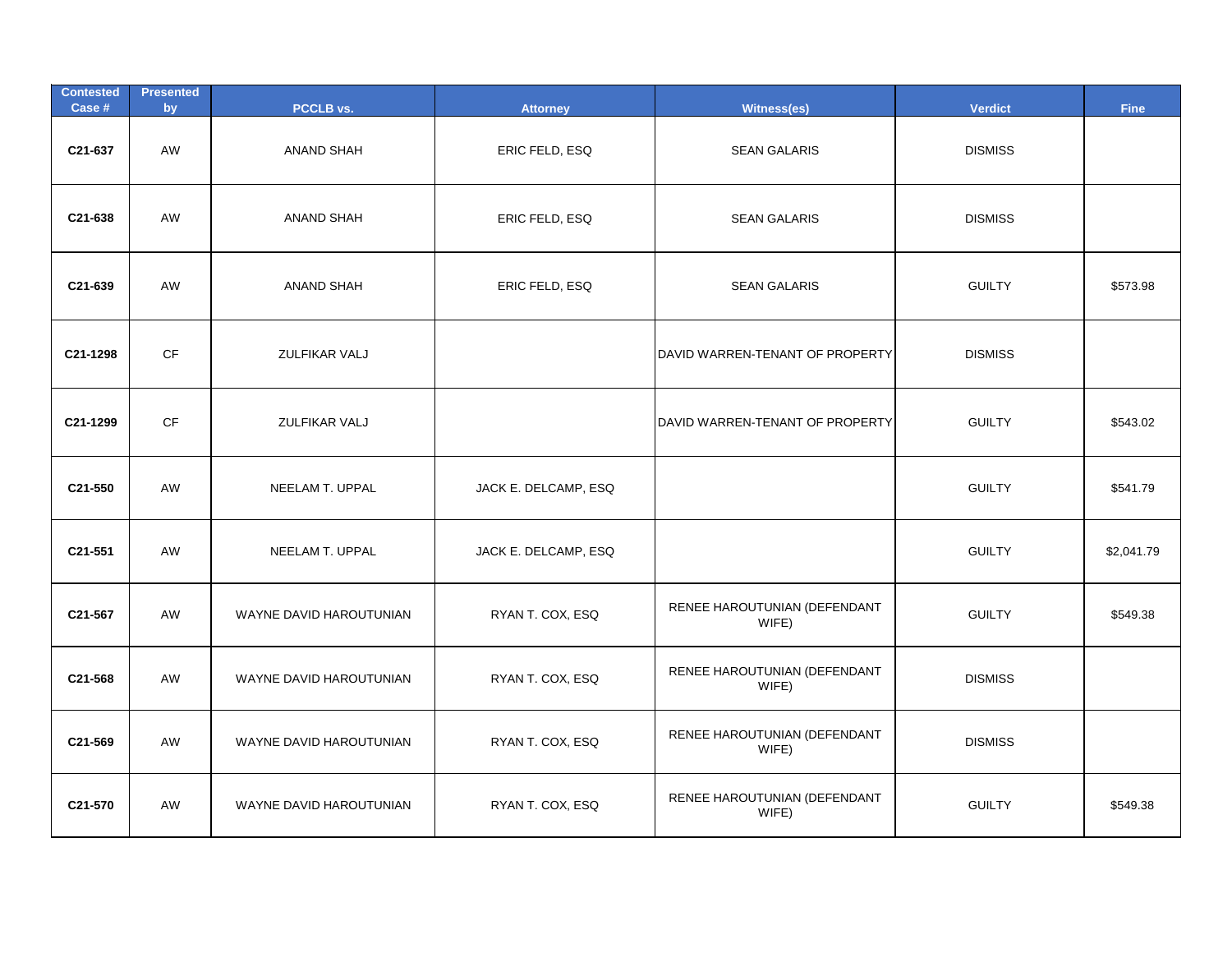| <b>Contested</b><br>Case # | <b>Presented</b><br>by | <b>PCCLB vs.</b>        | <b>Attorney</b>      | Witness(es)                           | <b>Verdict</b> | <b>Fine</b> |
|----------------------------|------------------------|-------------------------|----------------------|---------------------------------------|----------------|-------------|
| C21-637                    | AW                     | <b>ANAND SHAH</b>       | ERIC FELD, ESQ       | <b>SEAN GALARIS</b>                   | <b>DISMISS</b> |             |
| C21-638                    | AW                     | ANAND SHAH              | ERIC FELD, ESQ       | <b>SEAN GALARIS</b>                   | <b>DISMISS</b> |             |
| C21-639                    | AW                     | <b>ANAND SHAH</b>       | ERIC FELD, ESQ       | <b>SEAN GALARIS</b>                   | <b>GUILTY</b>  | \$573.98    |
| C21-1298                   | CF                     | ZULFIKAR VALJ           |                      | DAVID WARREN-TENANT OF PROPERTY       | <b>DISMISS</b> |             |
| C21-1299                   | CF                     | ZULFIKAR VALJ           |                      | DAVID WARREN-TENANT OF PROPERTY       | <b>GUILTY</b>  | \$543.02    |
| C21-550                    | AW                     | NEELAM T. UPPAL         | JACK E. DELCAMP, ESQ |                                       | <b>GUILTY</b>  | \$541.79    |
| C21-551                    | AW                     | NEELAM T. UPPAL         | JACK E. DELCAMP, ESQ |                                       | <b>GUILTY</b>  | \$2,041.79  |
| C21-567                    | AW                     | WAYNE DAVID HAROUTUNIAN | RYAN T. COX, ESQ     | RENEE HAROUTUNIAN (DEFENDANT<br>WIFE) | <b>GUILTY</b>  | \$549.38    |
| C21-568                    | AW                     | WAYNE DAVID HAROUTUNIAN | RYAN T. COX, ESQ     | RENEE HAROUTUNIAN (DEFENDANT<br>WIFE) | <b>DISMISS</b> |             |
| C21-569                    | AW                     | WAYNE DAVID HAROUTUNIAN | RYAN T. COX, ESQ     | RENEE HAROUTUNIAN (DEFENDANT<br>WIFE) | <b>DISMISS</b> |             |
| C21-570                    | AW                     | WAYNE DAVID HAROUTUNIAN | RYAN T. COX, ESQ     | RENEE HAROUTUNIAN (DEFENDANT<br>WIFE) | <b>GUILTY</b>  | \$549.38    |